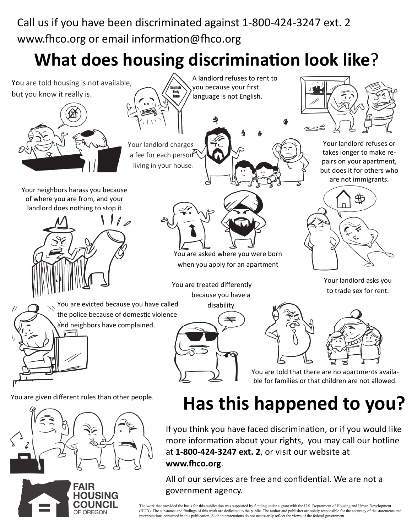Call us if you have been discriminated against 1-800-424-3247 ext. 2 www.fhco.org or email information@fhco.org

## **What does housing discrimination look like?**



**www.Ĭco.org**.

All of our services are free and confidential. We are not a government agency.

The work that provided the basis for this publication was supported by funding under a grant with the U.S. Department of Housing and Urban Development<br>(HUD). The substance and findings of this work are dedicated to the pub interpretations contained in this publication. Such interpretations do not necessarily reflect the views of the federal government.